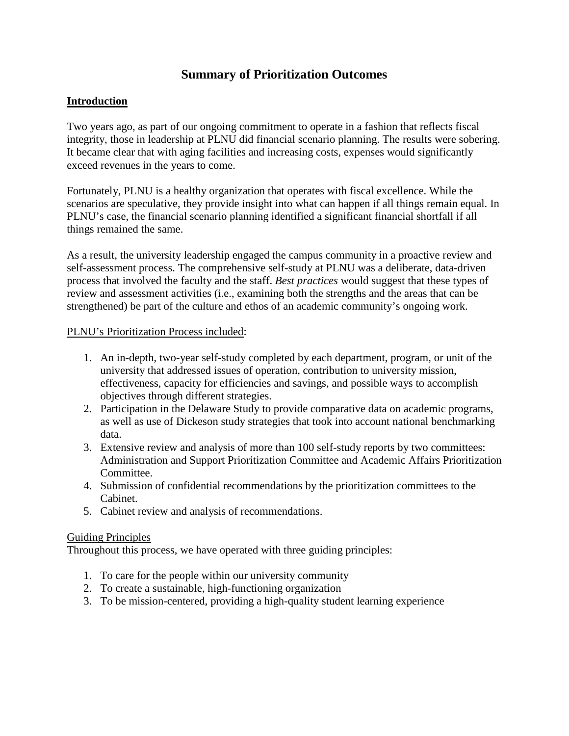# **Summary of Prioritization Outcomes**

## **Introduction**

Two years ago, as part of our ongoing commitment to operate in a fashion that reflects fiscal integrity, those in leadership at PLNU did financial scenario planning. The results were sobering. It became clear that with aging facilities and increasing costs, expenses would significantly exceed revenues in the years to come.

Fortunately, PLNU is a healthy organization that operates with fiscal excellence. While the scenarios are speculative, they provide insight into what can happen if all things remain equal. In PLNU's case, the financial scenario planning identified a significant financial shortfall if all things remained the same.

As a result, the university leadership engaged the campus community in a proactive review and self-assessment process. The comprehensive self-study at PLNU was a deliberate, data-driven process that involved the faculty and the staff. *Best practices* would suggest that these types of review and assessment activities (i.e., examining both the strengths and the areas that can be strengthened) be part of the culture and ethos of an academic community's ongoing work.

#### PLNU's Prioritization Process included:

- 1. An in-depth, two-year self-study completed by each department, program, or unit of the university that addressed issues of operation, contribution to university mission, effectiveness, capacity for efficiencies and savings, and possible ways to accomplish objectives through different strategies.
- 2. Participation in the Delaware Study to provide comparative data on academic programs, as well as use of Dickeson study strategies that took into account national benchmarking data.
- 3. Extensive review and analysis of more than 100 self-study reports by two committees: Administration and Support Prioritization Committee and Academic Affairs Prioritization Committee.
- 4. Submission of confidential recommendations by the prioritization committees to the Cabinet.
- 5. Cabinet review and analysis of recommendations.

#### Guiding Principles

Throughout this process, we have operated with three guiding principles:

- 1. To care for the people within our university community
- 2. To create a sustainable, high-functioning organization
- 3. To be mission-centered, providing a high-quality student learning experience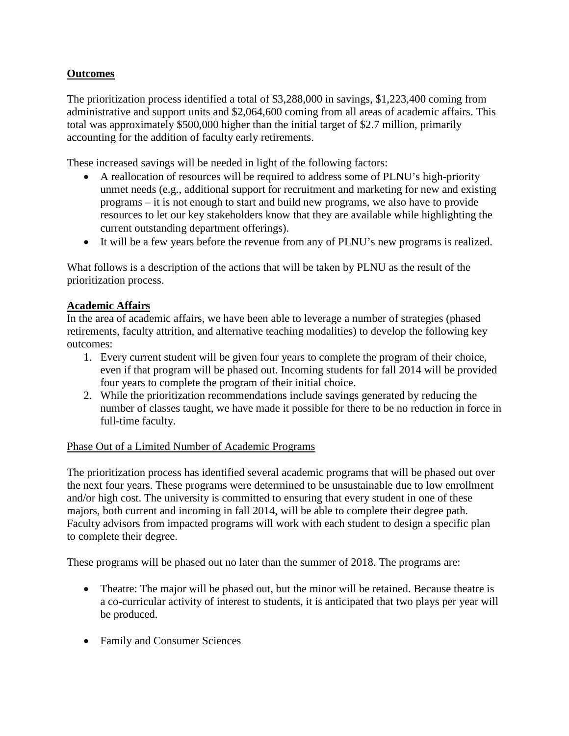# **Outcomes**

The prioritization process identified a total of \$3,288,000 in savings, \$1,223,400 coming from administrative and support units and \$2,064,600 coming from all areas of academic affairs. This total was approximately \$500,000 higher than the initial target of \$2.7 million, primarily accounting for the addition of faculty early retirements.

These increased savings will be needed in light of the following factors:

- A reallocation of resources will be required to address some of PLNU's high-priority unmet needs (e.g., additional support for recruitment and marketing for new and existing programs – it is not enough to start and build new programs, we also have to provide resources to let our key stakeholders know that they are available while highlighting the current outstanding department offerings).
- It will be a few years before the revenue from any of PLNU's new programs is realized.

What follows is a description of the actions that will be taken by PLNU as the result of the prioritization process.

### **Academic Affairs**

In the area of academic affairs, we have been able to leverage a number of strategies (phased retirements, faculty attrition, and alternative teaching modalities) to develop the following key outcomes:

- 1. Every current student will be given four years to complete the program of their choice, even if that program will be phased out. Incoming students for fall 2014 will be provided four years to complete the program of their initial choice.
- 2. While the prioritization recommendations include savings generated by reducing the number of classes taught, we have made it possible for there to be no reduction in force in full-time faculty.

#### Phase Out of a Limited Number of Academic Programs

The prioritization process has identified several academic programs that will be phased out over the next four years. These programs were determined to be unsustainable due to low enrollment and/or high cost. The university is committed to ensuring that every student in one of these majors, both current and incoming in fall 2014, will be able to complete their degree path. Faculty advisors from impacted programs will work with each student to design a specific plan to complete their degree.

These programs will be phased out no later than the summer of 2018. The programs are:

- Theatre: The major will be phased out, but the minor will be retained. Because theatre is a co-curricular activity of interest to students, it is anticipated that two plays per year will be produced.
- Family and Consumer Sciences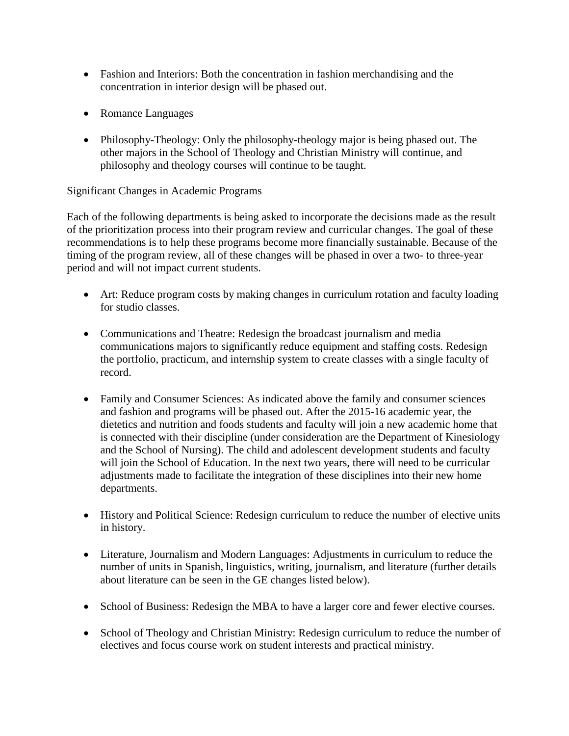- Fashion and Interiors: Both the concentration in fashion merchandising and the concentration in interior design will be phased out.
- Romance Languages
- Philosophy-Theology: Only the philosophy-theology major is being phased out. The other majors in the School of Theology and Christian Ministry will continue, and philosophy and theology courses will continue to be taught.

#### Significant Changes in Academic Programs

Each of the following departments is being asked to incorporate the decisions made as the result of the prioritization process into their program review and curricular changes. The goal of these recommendations is to help these programs become more financially sustainable. Because of the timing of the program review, all of these changes will be phased in over a two- to three-year period and will not impact current students.

- Art: Reduce program costs by making changes in curriculum rotation and faculty loading for studio classes.
- Communications and Theatre: Redesign the broadcast journalism and media communications majors to significantly reduce equipment and staffing costs. Redesign the portfolio, practicum, and internship system to create classes with a single faculty of record.
- Family and Consumer Sciences: As indicated above the family and consumer sciences and fashion and programs will be phased out. After the 2015-16 academic year, the dietetics and nutrition and foods students and faculty will join a new academic home that is connected with their discipline (under consideration are the Department of Kinesiology and the School of Nursing). The child and adolescent development students and faculty will join the School of Education. In the next two years, there will need to be curricular adjustments made to facilitate the integration of these disciplines into their new home departments.
- History and Political Science: Redesign curriculum to reduce the number of elective units in history.
- Literature, Journalism and Modern Languages: Adjustments in curriculum to reduce the number of units in Spanish, linguistics, writing, journalism, and literature (further details about literature can be seen in the GE changes listed below).
- School of Business: Redesign the MBA to have a larger core and fewer elective courses.
- School of Theology and Christian Ministry: Redesign curriculum to reduce the number of electives and focus course work on student interests and practical ministry.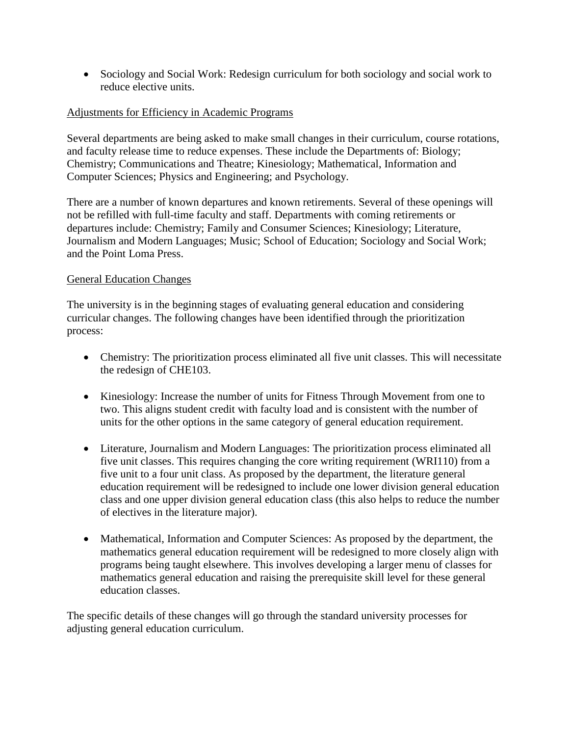• Sociology and Social Work: Redesign curriculum for both sociology and social work to reduce elective units.

### Adjustments for Efficiency in Academic Programs

Several departments are being asked to make small changes in their curriculum, course rotations, and faculty release time to reduce expenses. These include the Departments of: Biology; Chemistry; Communications and Theatre; Kinesiology; Mathematical, Information and Computer Sciences; Physics and Engineering; and Psychology.

There are a number of known departures and known retirements. Several of these openings will not be refilled with full-time faculty and staff. Departments with coming retirements or departures include: Chemistry; Family and Consumer Sciences; Kinesiology; Literature, Journalism and Modern Languages; Music; School of Education; Sociology and Social Work; and the Point Loma Press.

#### General Education Changes

The university is in the beginning stages of evaluating general education and considering curricular changes. The following changes have been identified through the prioritization process:

- Chemistry: The prioritization process eliminated all five unit classes. This will necessitate the redesign of CHE103.
- Kinesiology: Increase the number of units for Fitness Through Movement from one to two. This aligns student credit with faculty load and is consistent with the number of units for the other options in the same category of general education requirement.
- Literature, Journalism and Modern Languages: The prioritization process eliminated all five unit classes. This requires changing the core writing requirement (WRI110) from a five unit to a four unit class. As proposed by the department, the literature general education requirement will be redesigned to include one lower division general education class and one upper division general education class (this also helps to reduce the number of electives in the literature major).
- Mathematical, Information and Computer Sciences: As proposed by the department, the mathematics general education requirement will be redesigned to more closely align with programs being taught elsewhere. This involves developing a larger menu of classes for mathematics general education and raising the prerequisite skill level for these general education classes.

The specific details of these changes will go through the standard university processes for adjusting general education curriculum.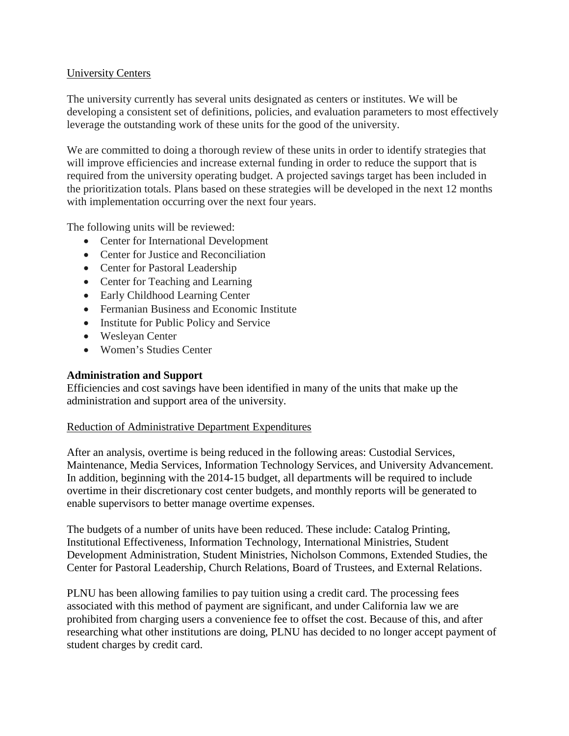### University Centers

The university currently has several units designated as centers or institutes. We will be developing a consistent set of definitions, policies, and evaluation parameters to most effectively leverage the outstanding work of these units for the good of the university.

We are committed to doing a thorough review of these units in order to identify strategies that will improve efficiencies and increase external funding in order to reduce the support that is required from the university operating budget. A projected savings target has been included in the prioritization totals. Plans based on these strategies will be developed in the next 12 months with implementation occurring over the next four years.

The following units will be reviewed:

- Center for International Development
- Center for Justice and Reconciliation
- Center for Pastoral Leadership
- Center for Teaching and Learning
- Early Childhood Learning Center
- Fermanian Business and Economic Institute
- Institute for Public Policy and Service
- Wesleyan Center
- Women's Studies Center

## **Administration and Support**

Efficiencies and cost savings have been identified in many of the units that make up the administration and support area of the university.

#### Reduction of Administrative Department Expenditures

After an analysis, overtime is being reduced in the following areas: Custodial Services, Maintenance, Media Services, Information Technology Services, and University Advancement. In addition, beginning with the 2014-15 budget, all departments will be required to include overtime in their discretionary cost center budgets, and monthly reports will be generated to enable supervisors to better manage overtime expenses.

The budgets of a number of units have been reduced. These include: Catalog Printing, Institutional Effectiveness, Information Technology, International Ministries, Student Development Administration, Student Ministries, Nicholson Commons, Extended Studies, the Center for Pastoral Leadership, Church Relations, Board of Trustees, and External Relations.

PLNU has been allowing families to pay tuition using a credit card. The processing fees associated with this method of payment are significant, and under California law we are prohibited from charging users a convenience fee to offset the cost. Because of this, and after researching what other institutions are doing, PLNU has decided to no longer accept payment of student charges by credit card.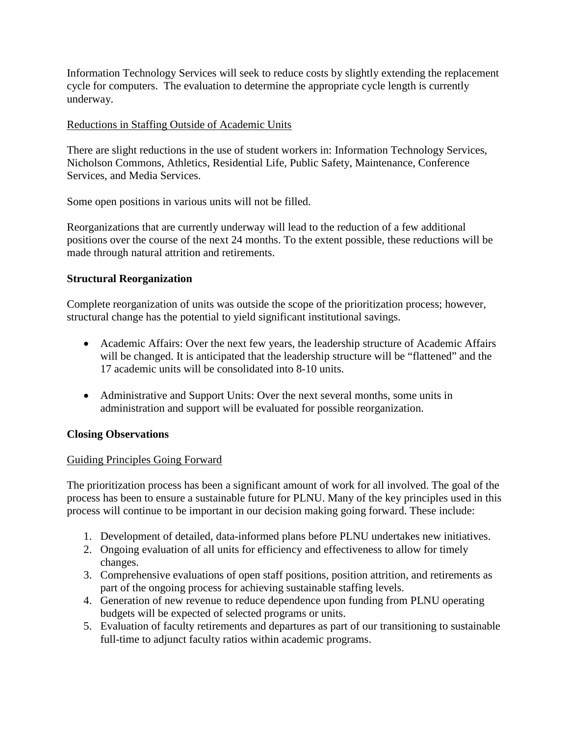Information Technology Services will seek to reduce costs by slightly extending the replacement cycle for computers. The evaluation to determine the appropriate cycle length is currently underway.

### Reductions in Staffing Outside of Academic Units

There are slight reductions in the use of student workers in: Information Technology Services, Nicholson Commons, Athletics, Residential Life, Public Safety, Maintenance, Conference Services, and Media Services.

Some open positions in various units will not be filled.

Reorganizations that are currently underway will lead to the reduction of a few additional positions over the course of the next 24 months. To the extent possible, these reductions will be made through natural attrition and retirements.

## **Structural Reorganization**

Complete reorganization of units was outside the scope of the prioritization process; however, structural change has the potential to yield significant institutional savings.

- Academic Affairs: Over the next few years, the leadership structure of Academic Affairs will be changed. It is anticipated that the leadership structure will be "flattened" and the 17 academic units will be consolidated into 8-10 units.
- Administrative and Support Units: Over the next several months, some units in administration and support will be evaluated for possible reorganization.

## **Closing Observations**

## Guiding Principles Going Forward

The prioritization process has been a significant amount of work for all involved. The goal of the process has been to ensure a sustainable future for PLNU. Many of the key principles used in this process will continue to be important in our decision making going forward. These include:

- 1. Development of detailed, data-informed plans before PLNU undertakes new initiatives.
- 2. Ongoing evaluation of all units for efficiency and effectiveness to allow for timely changes.
- 3. Comprehensive evaluations of open staff positions, position attrition, and retirements as part of the ongoing process for achieving sustainable staffing levels.
- 4. Generation of new revenue to reduce dependence upon funding from PLNU operating budgets will be expected of selected programs or units.
- 5. Evaluation of faculty retirements and departures as part of our transitioning to sustainable full-time to adjunct faculty ratios within academic programs.